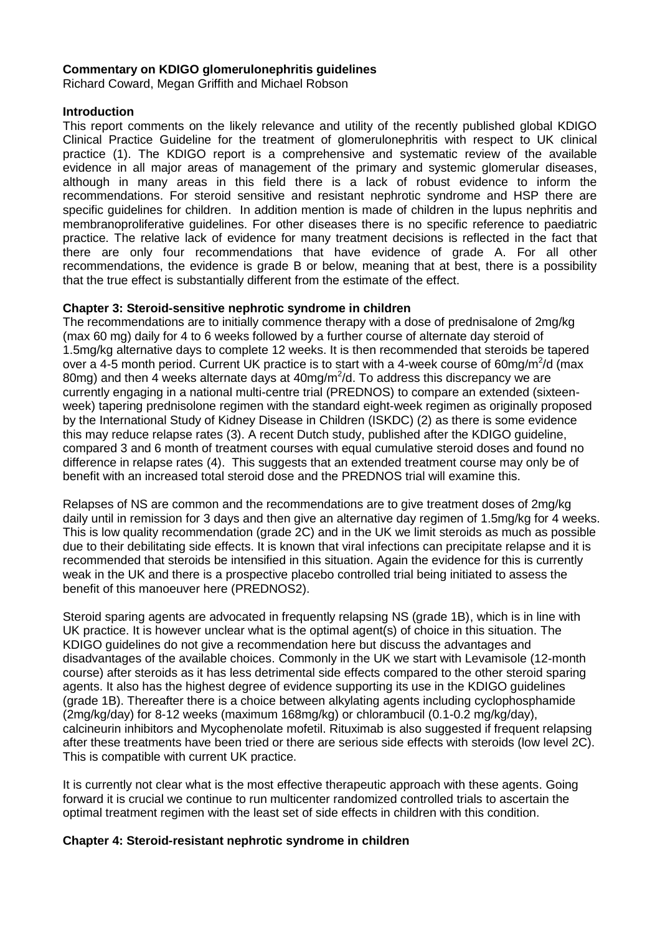### **Commentary on KDIGO glomerulonephritis guidelines**

Richard Coward, Megan Griffith and Michael Robson

#### **Introduction**

This report comments on the likely relevance and utility of the recently published global KDIGO Clinical Practice Guideline for the treatment of glomerulonephritis with respect to UK clinical practice (1). The KDIGO report is a comprehensive and systematic review of the available evidence in all major areas of management of the primary and systemic glomerular diseases, although in many areas in this field there is a lack of robust evidence to inform the recommendations. For steroid sensitive and resistant nephrotic syndrome and HSP there are specific guidelines for children. In addition mention is made of children in the lupus nephritis and membranoproliferative guidelines. For other diseases there is no specific reference to paediatric practice. The relative lack of evidence for many treatment decisions is reflected in the fact that there are only four recommendations that have evidence of grade A. For all other recommendations, the evidence is grade B or below, meaning that at best, there is a possibility that the true effect is substantially different from the estimate of the effect.

### **Chapter 3: Steroid-sensitive nephrotic syndrome in children**

The recommendations are to initially commence therapy with a dose of prednisalone of 2mg/kg (max 60 mg) daily for 4 to 6 weeks followed by a further course of alternate day steroid of 1.5mg/kg alternative days to complete 12 weeks. It is then recommended that steroids be tapered over a 4-5 month period. Current UK practice is to start with a 4-week course of 60mg/m<sup>2</sup>/d (max 80mg) and then 4 weeks alternate days at 40mg/m<sup>2</sup>/d. To address this discrepancy we are currently engaging in a national multi-centre trial (PREDNOS) to compare an extended (sixteenweek) tapering prednisolone regimen with the standard eight-week regimen as originally proposed by the International Study of Kidney Disease in Children (ISKDC) (2) as there is some evidence this may reduce relapse rates (3). A recent Dutch study, published after the KDIGO guideline, compared 3 and 6 month of treatment courses with equal cumulative steroid doses and found no difference in relapse rates (4). This suggests that an extended treatment course may only be of benefit with an increased total steroid dose and the PREDNOS trial will examine this.

Relapses of NS are common and the recommendations are to give treatment doses of 2mg/kg daily until in remission for 3 days and then give an alternative day regimen of 1.5mg/kg for 4 weeks. This is low quality recommendation (grade 2C) and in the UK we limit steroids as much as possible due to their debilitating side effects. It is known that viral infections can precipitate relapse and it is recommended that steroids be intensified in this situation. Again the evidence for this is currently weak in the UK and there is a prospective placebo controlled trial being initiated to assess the benefit of this manoeuver here (PREDNOS2).

Steroid sparing agents are advocated in frequently relapsing NS (grade 1B), which is in line with UK practice. It is however unclear what is the optimal agent(s) of choice in this situation. The KDIGO guidelines do not give a recommendation here but discuss the advantages and disadvantages of the available choices. Commonly in the UK we start with Levamisole (12-month course) after steroids as it has less detrimental side effects compared to the other steroid sparing agents. It also has the highest degree of evidence supporting its use in the KDIGO guidelines (grade 1B). Thereafter there is a choice between alkylating agents including cyclophosphamide (2mg/kg/day) for 8-12 weeks (maximum 168mg/kg) or chlorambucil (0.1-0.2 mg/kg/day), calcineurin inhibitors and Mycophenolate mofetil. Rituximab is also suggested if frequent relapsing after these treatments have been tried or there are serious side effects with steroids (low level 2C). This is compatible with current UK practice.

It is currently not clear what is the most effective therapeutic approach with these agents. Going forward it is crucial we continue to run multicenter randomized controlled trials to ascertain the optimal treatment regimen with the least set of side effects in children with this condition.

### **Chapter 4: Steroid-resistant nephrotic syndrome in children**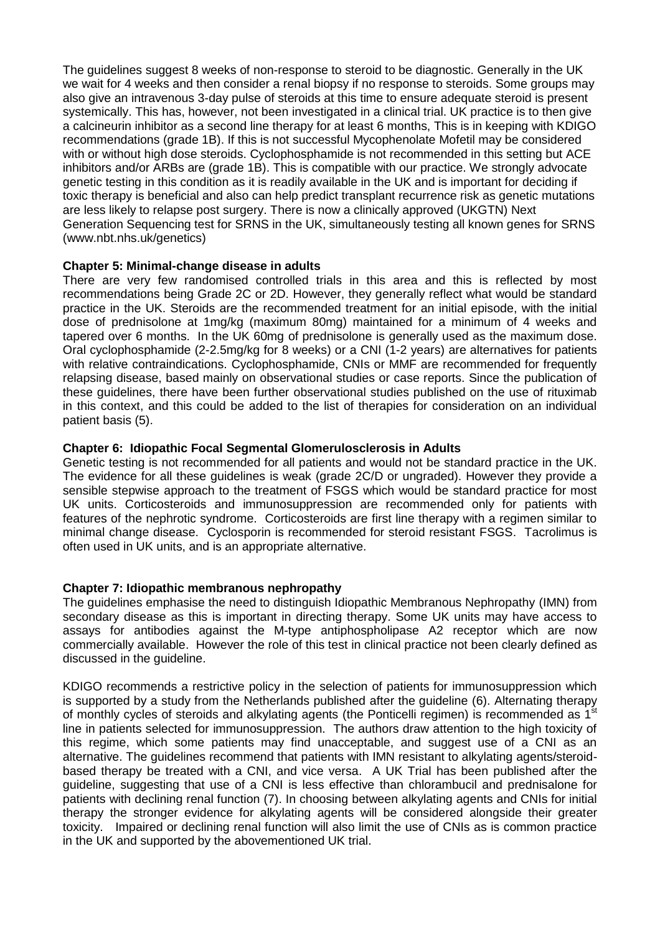The guidelines suggest 8 weeks of non-response to steroid to be diagnostic. Generally in the UK we wait for 4 weeks and then consider a renal biopsy if no response to steroids. Some groups may also give an intravenous 3-day pulse of steroids at this time to ensure adequate steroid is present systemically. This has, however, not been investigated in a clinical trial. UK practice is to then give a calcineurin inhibitor as a second line therapy for at least 6 months, This is in keeping with KDIGO recommendations (grade 1B). If this is not successful Mycophenolate Mofetil may be considered with or without high dose steroids. Cyclophosphamide is not recommended in this setting but ACE inhibitors and/or ARBs are (grade 1B). This is compatible with our practice. We strongly advocate genetic testing in this condition as it is readily available in the UK and is important for deciding if toxic therapy is beneficial and also can help predict transplant recurrence risk as genetic mutations are less likely to relapse post surgery. There is now a clinically approved (UKGTN) Next Generation Sequencing test for SRNS in the UK, simultaneously testing all known genes for SRNS (www.nbt.nhs.uk/genetics)

### **Chapter 5: Minimal-change disease in adults**

There are very few randomised controlled trials in this area and this is reflected by most recommendations being Grade 2C or 2D. However, they generally reflect what would be standard practice in the UK. Steroids are the recommended treatment for an initial episode, with the initial dose of prednisolone at 1mg/kg (maximum 80mg) maintained for a minimum of 4 weeks and tapered over 6 months. In the UK 60mg of prednisolone is generally used as the maximum dose. Oral cyclophosphamide (2-2.5mg/kg for 8 weeks) or a CNI (1-2 years) are alternatives for patients with relative contraindications. Cyclophosphamide, CNIs or MMF are recommended for frequently relapsing disease, based mainly on observational studies or case reports. Since the publication of these guidelines, there have been further observational studies published on the use of rituximab in this context, and this could be added to the list of therapies for consideration on an individual patient basis (5).

# **Chapter 6: Idiopathic Focal Segmental Glomerulosclerosis in Adults**

Genetic testing is not recommended for all patients and would not be standard practice in the UK. The evidence for all these guidelines is weak (grade 2C/D or ungraded). However they provide a sensible stepwise approach to the treatment of FSGS which would be standard practice for most UK units. Corticosteroids and immunosuppression are recommended only for patients with features of the nephrotic syndrome. Corticosteroids are first line therapy with a regimen similar to minimal change disease. Cyclosporin is recommended for steroid resistant FSGS. Tacrolimus is often used in UK units, and is an appropriate alternative.

# **Chapter 7: Idiopathic membranous nephropathy**

The guidelines emphasise the need to distinguish Idiopathic Membranous Nephropathy (IMN) from secondary disease as this is important in directing therapy. Some UK units may have access to assays for antibodies against the M-type antiphospholipase A2 receptor which are now commercially available. However the role of this test in clinical practice not been clearly defined as discussed in the guideline.

KDIGO recommends a restrictive policy in the selection of patients for immunosuppression which is supported by a study from the Netherlands published after the guideline (6). Alternating therapy of monthly cycles of steroids and alkylating agents (the Ponticelli regimen) is recommended as 1<sup>st</sup> line in patients selected for immunosuppression. The authors draw attention to the high toxicity of this regime, which some patients may find unacceptable, and suggest use of a CNI as an alternative. The guidelines recommend that patients with IMN resistant to alkylating agents/steroidbased therapy be treated with a CNI, and vice versa. A UK Trial has been published after the guideline, suggesting that use of a CNI is less effective than chlorambucil and prednisalone for patients with declining renal function (7). In choosing between alkylating agents and CNIs for initial therapy the stronger evidence for alkylating agents will be considered alongside their greater toxicity. Impaired or declining renal function will also limit the use of CNIs as is common practice in the UK and supported by the abovementioned UK trial.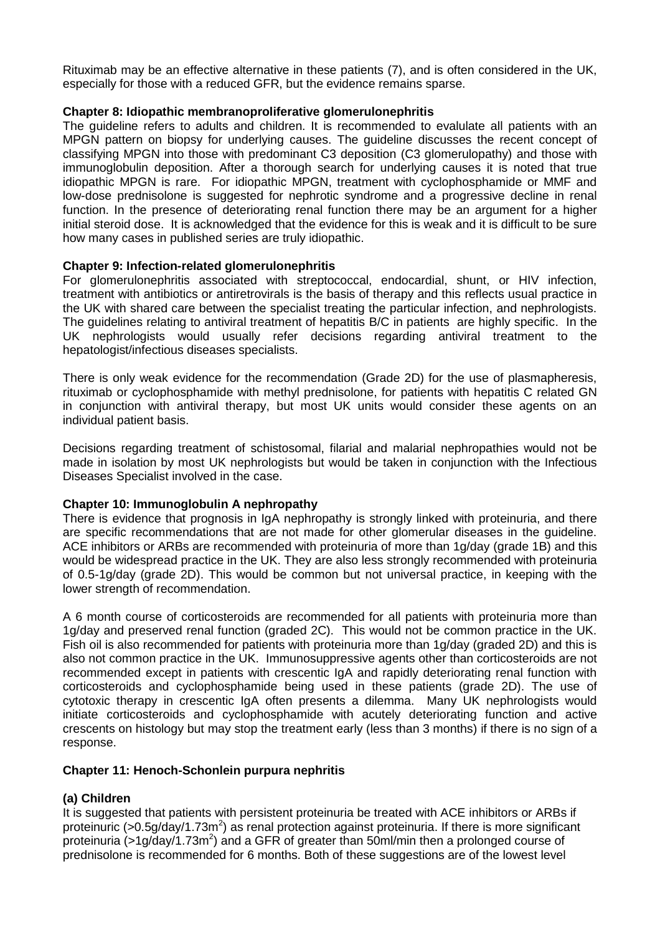Rituximab may be an effective alternative in these patients (7), and is often considered in the UK, especially for those with a reduced GFR, but the evidence remains sparse.

# **Chapter 8: Idiopathic membranoproliferative glomerulonephritis**

The guideline refers to adults and children. It is recommended to evalulate all patients with an MPGN pattern on biopsy for underlying causes. The guideline discusses the recent concept of classifying MPGN into those with predominant C3 deposition (C3 glomerulopathy) and those with immunoglobulin deposition. After a thorough search for underlying causes it is noted that true idiopathic MPGN is rare. For idiopathic MPGN, treatment with cyclophosphamide or MMF and low-dose prednisolone is suggested for nephrotic syndrome and a progressive decline in renal function. In the presence of deteriorating renal function there may be an argument for a higher initial steroid dose. It is acknowledged that the evidence for this is weak and it is difficult to be sure how many cases in published series are truly idiopathic.

### **Chapter 9: Infection-related glomerulonephritis**

For glomerulonephritis associated with streptococcal, endocardial, shunt, or HIV infection, treatment with antibiotics or antiretrovirals is the basis of therapy and this reflects usual practice in the UK with shared care between the specialist treating the particular infection, and nephrologists. The guidelines relating to antiviral treatment of hepatitis B/C in patients are highly specific. In the UK nephrologists would usually refer decisions regarding antiviral treatment to the hepatologist/infectious diseases specialists.

There is only weak evidence for the recommendation (Grade 2D) for the use of plasmapheresis, rituximab or cyclophosphamide with methyl prednisolone, for patients with hepatitis C related GN in conjunction with antiviral therapy, but most UK units would consider these agents on an individual patient basis.

Decisions regarding treatment of schistosomal, filarial and malarial nephropathies would not be made in isolation by most UK nephrologists but would be taken in conjunction with the Infectious Diseases Specialist involved in the case.

### **Chapter 10: Immunoglobulin A nephropathy**

There is evidence that prognosis in IgA nephropathy is strongly linked with proteinuria, and there are specific recommendations that are not made for other glomerular diseases in the guideline. ACE inhibitors or ARBs are recommended with proteinuria of more than 1g/day (grade 1B) and this would be widespread practice in the UK. They are also less strongly recommended with proteinuria of 0.5-1g/day (grade 2D). This would be common but not universal practice, in keeping with the lower strength of recommendation.

A 6 month course of corticosteroids are recommended for all patients with proteinuria more than 1g/day and preserved renal function (graded 2C). This would not be common practice in the UK. Fish oil is also recommended for patients with proteinuria more than 1g/day (graded 2D) and this is also not common practice in the UK. Immunosuppressive agents other than corticosteroids are not recommended except in patients with crescentic IgA and rapidly deteriorating renal function with corticosteroids and cyclophosphamide being used in these patients (grade 2D). The use of cytotoxic therapy in crescentic IgA often presents a dilemma. Many UK nephrologists would initiate corticosteroids and cyclophosphamide with acutely deteriorating function and active crescents on histology but may stop the treatment early (less than 3 months) if there is no sign of a response.

### **Chapter 11: Henoch-Schonlein purpura nephritis**

# **(a) Children**

It is suggested that patients with persistent proteinuria be treated with ACE inhibitors or ARBs if proteinuric (>0.5g/day/1.73m<sup>2</sup>) as renal protection against proteinuria. If there is more significant proteinuria (>1g/day/1.73m<sup>2</sup>) and a GFR of greater than 50ml/min then a prolonged course of prednisolone is recommended for 6 months. Both of these suggestions are of the lowest level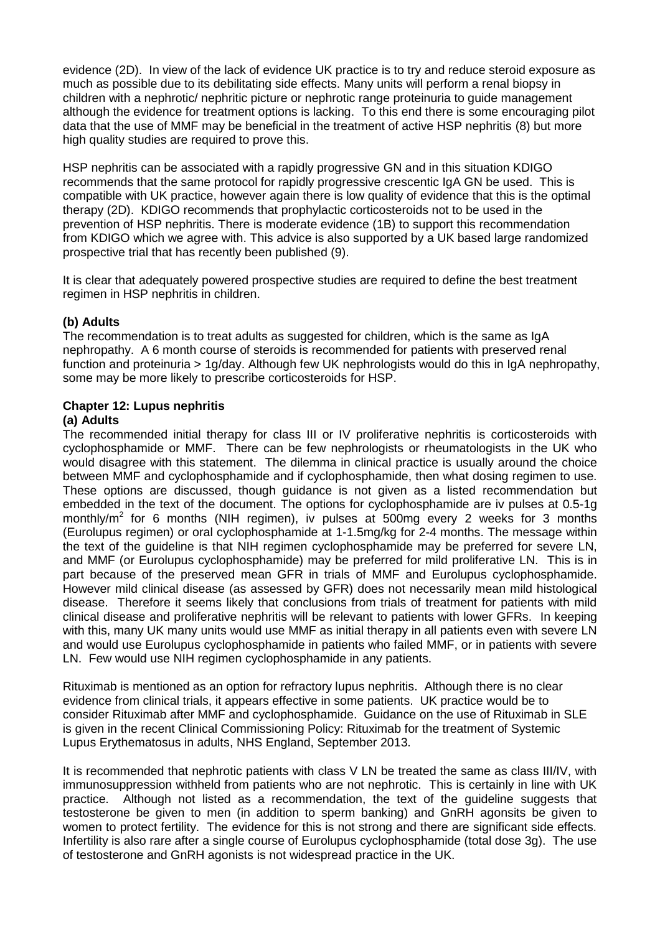evidence (2D). In view of the lack of evidence UK practice is to try and reduce steroid exposure as much as possible due to its debilitating side effects. Many units will perform a renal biopsy in children with a nephrotic/ nephritic picture or nephrotic range proteinuria to guide management although the evidence for treatment options is lacking. To this end there is some encouraging pilot data that the use of MMF may be beneficial in the treatment of active HSP nephritis (8) but more high quality studies are required to prove this.

HSP nephritis can be associated with a rapidly progressive GN and in this situation KDIGO recommends that the same protocol for rapidly progressive crescentic IgA GN be used. This is compatible with UK practice, however again there is low quality of evidence that this is the optimal therapy (2D). KDIGO recommends that prophylactic corticosteroids not to be used in the prevention of HSP nephritis. There is moderate evidence (1B) to support this recommendation from KDIGO which we agree with. This advice is also supported by a UK based large randomized prospective trial that has recently been published (9).

It is clear that adequately powered prospective studies are required to define the best treatment regimen in HSP nephritis in children.

# **(b) Adults**

The recommendation is to treat adults as suggested for children, which is the same as IgA nephropathy. A 6 month course of steroids is recommended for patients with preserved renal function and proteinuria > 1g/day. Although few UK nephrologists would do this in IgA nephropathy, some may be more likely to prescribe corticosteroids for HSP.

#### **Chapter 12: Lupus nephritis (a) Adults**

The recommended initial therapy for class III or IV proliferative nephritis is corticosteroids with cyclophosphamide or MMF. There can be few nephrologists or rheumatologists in the UK who would disagree with this statement. The dilemma in clinical practice is usually around the choice between MMF and cyclophosphamide and if cyclophosphamide, then what dosing regimen to use. These options are discussed, though guidance is not given as a listed recommendation but embedded in the text of the document. The options for cyclophosphamide are iv pulses at 0.5-1g monthly/m<sup>2</sup> for 6 months (NIH regimen), iv pulses at 500mg every 2 weeks for 3 months (Eurolupus regimen) or oral cyclophosphamide at 1-1.5mg/kg for 2-4 months. The message within the text of the guideline is that NIH regimen cyclophosphamide may be preferred for severe LN, and MMF (or Eurolupus cyclophosphamide) may be preferred for mild proliferative LN. This is in part because of the preserved mean GFR in trials of MMF and Eurolupus cyclophosphamide. However mild clinical disease (as assessed by GFR) does not necessarily mean mild histological disease. Therefore it seems likely that conclusions from trials of treatment for patients with mild clinical disease and proliferative nephritis will be relevant to patients with lower GFRs. In keeping with this, many UK many units would use MMF as initial therapy in all patients even with severe LN and would use Eurolupus cyclophosphamide in patients who failed MMF, or in patients with severe LN. Few would use NIH regimen cyclophosphamide in any patients.

Rituximab is mentioned as an option for refractory lupus nephritis. Although there is no clear evidence from clinical trials, it appears effective in some patients. UK practice would be to consider Rituximab after MMF and cyclophosphamide. Guidance on the use of Rituximab in SLE is given in the recent Clinical Commissioning Policy: Rituximab for the treatment of Systemic Lupus Erythematosus in adults, NHS England, September 2013.

It is recommended that nephrotic patients with class V LN be treated the same as class III/IV, with immunosuppression withheld from patients who are not nephrotic. This is certainly in line with UK practice. Although not listed as a recommendation, the text of the guideline suggests that testosterone be given to men (in addition to sperm banking) and GnRH agonsits be given to women to protect fertility. The evidence for this is not strong and there are significant side effects. Infertility is also rare after a single course of Eurolupus cyclophosphamide (total dose 3g). The use of testosterone and GnRH agonists is not widespread practice in the UK.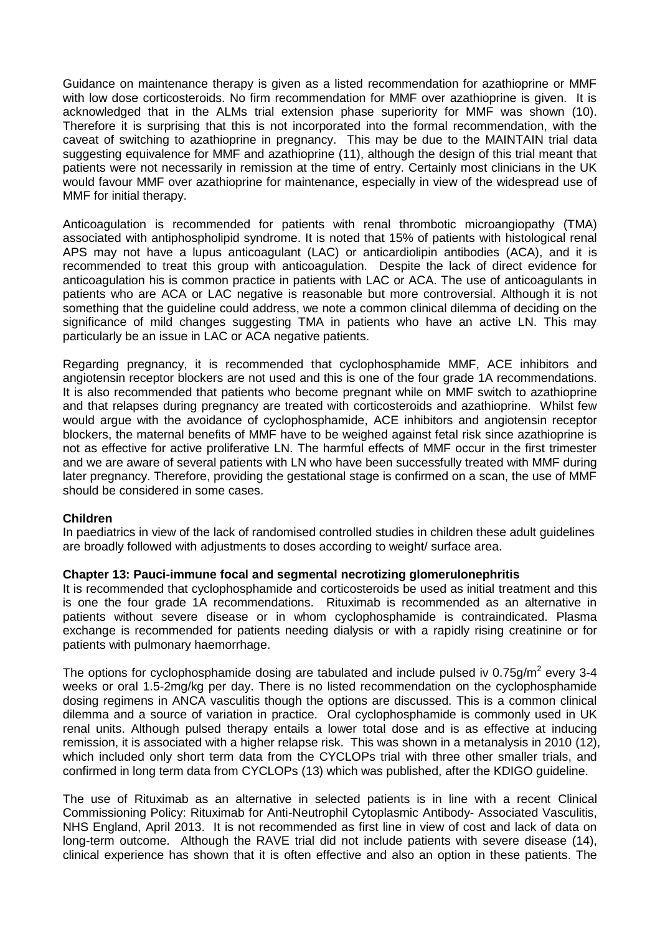Guidance on maintenance therapy is given as a listed recommendation for azathioprine or MMF with low dose corticosteroids. No firm recommendation for MMF over azathioprine is given. It is acknowledged that in the ALMs trial extension phase superiority for MMF was shown (10). Therefore it is surprising that this is not incorporated into the formal recommendation, with the caveat of switching to azathioprine in pregnancy. This may be due to the MAINTAIN trial data suggesting equivalence for MMF and azathioprine (11), although the design of this trial meant that patients were not necessarily in remission at the time of entry. Certainly most clinicians in the UK would favour MMF over azathioprine for maintenance, especially in view of the widespread use of MMF for initial therapy.

Anticoagulation is recommended for patients with renal thrombotic microangiopathy (TMA) associated with antiphospholipid syndrome. It is noted that 15% of patients with histological renal APS may not have a lupus anticoagulant (LAC) or anticardiolipin antibodies (ACA), and it is recommended to treat this group with anticoagulation. Despite the lack of direct evidence for anticoagulation his is common practice in patients with LAC or ACA. The use of anticoagulants in patients who are ACA or LAC negative is reasonable but more controversial. Although it is not something that the guideline could address, we note a common clinical dilemma of deciding on the significance of mild changes suggesting TMA in patients who have an active LN. This may particularly be an issue in LAC or ACA negative patients.

Regarding pregnancy, it is recommended that cyclophosphamide MMF, ACE inhibitors and angiotensin receptor blockers are not used and this is one of the four grade 1A recommendations. It is also recommended that patients who become pregnant while on MMF switch to azathioprine and that relapses during pregnancy are treated with corticosteroids and azathioprine. Whilst few would argue with the avoidance of cyclophosphamide, ACE inhibitors and angiotensin receptor blockers, the maternal benefits of MMF have to be weighed against fetal risk since azathioprine is not as effective for active proliferative LN. The harmful effects of MMF occur in the first trimester and we are aware of several patients with LN who have been successfully treated with MMF during later pregnancy. Therefore, providing the gestational stage is confirmed on a scan, the use of MMF should be considered in some cases.

### **Children**

In paediatrics in view of the lack of randomised controlled studies in children these adult guidelines are broadly followed with adjustments to doses according to weight/ surface area.

### **Chapter 13: Pauci-immune focal and segmental necrotizing glomerulonephritis**

It is recommended that cyclophosphamide and corticosteroids be used as initial treatment and this is one the four grade 1A recommendations. Rituximab is recommended as an alternative in patients without severe disease or in whom cyclophosphamide is contraindicated. Plasma exchange is recommended for patients needing dialysis or with a rapidly rising creatinine or for patients with pulmonary haemorrhage.

The options for cyclophosphamide dosing are tabulated and include pulsed iv 0.75g/m<sup>2</sup> every 3-4 weeks or oral 1.5-2mg/kg per day. There is no listed recommendation on the cyclophosphamide dosing regimens in ANCA vasculitis though the options are discussed. This is a common clinical dilemma and a source of variation in practice. Oral cyclophosphamide is commonly used in UK renal units. Although pulsed therapy entails a lower total dose and is as effective at inducing remission, it is associated with a higher relapse risk. This was shown in a metanalysis in 2010 (12), which included only short term data from the CYCLOPs trial with three other smaller trials, and confirmed in long term data from CYCLOPs (13) which was published, after the KDIGO guideline.

The use of Rituximab as an alternative in selected patients is in line with a recent Clinical Commissioning Policy: Rituximab for Anti-Neutrophil Cytoplasmic Antibody- Associated Vasculitis, NHS England, April 2013. It is not recommended as first line in view of cost and lack of data on long-term outcome. Although the RAVE trial did not include patients with severe disease (14), clinical experience has shown that it is often effective and also an option in these patients. The